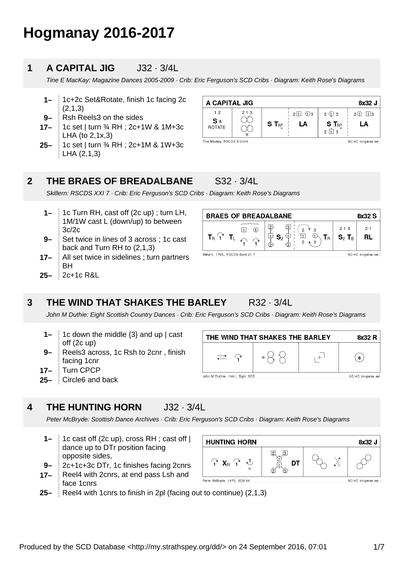# **Hogmanay 2016-2017**

#### **1 A CAPITAL JIG** J32 · 3/4L

Tine E MacKay: Magazine Dances 2005-2009 · Crib: Eric Ferguson's SCD Cribs · Diagram: Keith Rose's Diagrams

- **1–** 1c+2c Set&Rotate, finish 1c facing 2c (2,1,3)
- **9–** Rsh Reels3 on the sides
- **17–** 1c set | turn ¾ RH ; 2c+1W & 1M+3c LHA (to 2,1x,3)
- **25–** 1c set | turn ¾ RH ; 2c+1M & 1W+3c LHA (2,1,3)

| A CAPITAL JIG             |                |             |                              |                                               | 8x32 J              |
|---------------------------|----------------|-------------|------------------------------|-----------------------------------------------|---------------------|
| 12<br>S&<br><b>ROTATE</b> | 213<br>$\odot$ | $S T_{R^3}$ | $2\sqrt{1}$ $\sqrt{1}$<br>LA | $2 \oplus 3$<br>$S_{\text{R}^3}$<br>$2  1 $ 3 | $2(1)$ 13<br>LA     |
| Tine Mackay, RSCDS 5/2009 |                |             |                              |                                               | 3C/4C longwise set. |

#### **2 THE BRAES OF BREADALBANE** S32 · 3/4L

Skillern: RSCDS XXI 7 · Crib: Eric Ferguson's SCD Cribs · Diagram: Keith Rose's Diagrams

- **1–** 1c Turn RH, cast off (2c up) ; turn LH, 1M/1W cast L (down/up) to between 3c/2c
- **9–** Set twice in lines of 3 across ; 1c cast back and Turn RH to (2,1,3)
- **17–** All set twice in sidelines ; turn partners **BH**
- **25–** 2c+1c R&L

| <b>BRAES OF BREADALBANE</b><br>8x32 S                  |                                |                                                |  |  |
|--------------------------------------------------------|--------------------------------|------------------------------------------------|--|--|
| $\mathsf{T}_\mathsf{R}$ .                              | 13<br>$\mathbf{S}_2$<br>2<br>2 | 213<br>21<br>RL<br>$S_2$ T <sub>B</sub><br>I R |  |  |
| Skillern, 1795, RSCDS Book 21.7<br>3C/4C longwise set. |                                |                                                |  |  |

#### **3 THE WIND THAT SHAKES THE BARLEY** R32 · 3/4L

John M Duthie: Eight Scottish Country Dances · Crib: Eric Ferguson's SCD Cribs · Diagram: Keith Rose's Diagrams

 $\rightarrow$  $\curvearrowright$ 

John M Duthie, 1961, Eight SCD

- **9– 1–** 1c down the middle {3} and up | cast off (2c up) Reels3 across, 1c Rsh to 2cnr , finish
- **17–** facing 1cnr Turn CPCP
- **25–** Circle6 and back



Peter McBryde: Scottish Dance Archives · Crib: Eric Ferguson's SCD Cribs · Diagram: Keith Rose's Diagrams

- **1–** 1c cast off (2c up), cross RH ; cast off | dance up to DTr position facing opposite sides,
- **9–** 2c+1c+3c DTr, 1c finishes facing 2cnrs
- **17–** Reel4 with 2cnrs, at end pass Lsh and face 1cnrs
- **HUNTING HORN** 8x32 J  $\hat{A}$   $X_{R}$   $\hat{A}$   $U$ X **DT** Peter McBryde, 1975, SDA 66 3C/4C longwise set

THE WIND THAT SHAKES THE BARLEY

 $\cdot$   $\times$   $\times$ 

**25–** Reel4 with 1cnrs to finish in 2pl (facing out to continue) (2,1,3) 8x32 R

 $(\mathbf{6})$ 

3C/4C longwise set

 $\overline{+}$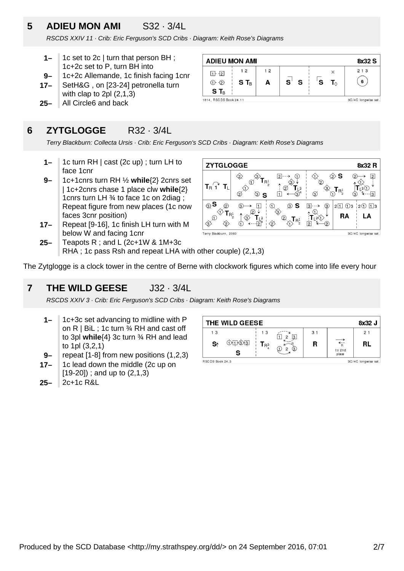### **5 ADIEU MON AMI** S32 · 3/4L

RSCDS XXIV 11 · Crib: Eric Ferguson's SCD Cribs · Diagram: Keith Rose's Diagrams

- **1–** 1c set to 2c | turn that person BH ; 1c+2c set to P, turn BH into
- **9–** 1c+2c Allemande, 1c finish facing 1cnr
- **17–** SetH&G , on [23-24] petronella turn with clap to 2pl (2,1,3)
- **25–** All Circle6 and back

### **6 ZYTGLOGGE** R32 · 3/4L

Terry Blackburn: Collecta Ursis · Crib: Eric Ferguson's SCD Cribs · Diagram: Keith Rose's Diagrams

**ADIEU MON AMI** 

 $1 + 2$ 

 $(1)$   $(2)$ 

 $S T_B$ 1814, RSCDS Book 24.11

 $12$ 

 $S T_B$ 

 $12$ 

A

 $\mathbf{s}^{\scriptscriptstyle\top}$ S

- **1–** 1c turn RH | cast (2c up) ; turn LH to face 1cnr
- **9–** 1c+1cnrs turn RH ½ **while**{2} 2cnrs set | 1c+2cnrs chase 1 place clw **while**{2} 1cnrs turn LH ¾ to face 1c on 2diag ; Repeat figure from new places (1c now faces 3cnr position)
- **17–** Repeat [9-16], 1c finish LH turn with M below W and facing 1cnr



8x32 S

 $213$ 

 $\left( 6\right)$ 

3C/4C longwise set

 $\times$ 

 $T_{\wedge}$ 

ˈs

**25–** Teapots R ; and L (2c+1W & 1M+3c RHA ; 1c pass Rsh and repeat LHA with other couple) (2,1,3)

The Zytglogge is a clock tower in the centre of Berne with clockwork figures which come into life every hour

#### **7 THE WILD GEESE** J32 · 3/4L

RSCDS XXIV 3 · Crib: Eric Ferguson's SCD Cribs · Diagram: Keith Rose's Diagrams

- **1–** 1c+3c set advancing to midline with P on R  $\vert$  BiL; 1c turn  $\frac{3}{4}$  RH and cast off to 3pl **while**{4} 3c turn ¾ RH and lead to 1pl (3,2,1)
- **9–** repeat [1-8] from new positions (1,2,3)
- **17–** 1c lead down the middle (2c up on [19-20]) ; and up to (2,1,3)
- **25–** 2c+1c R&L

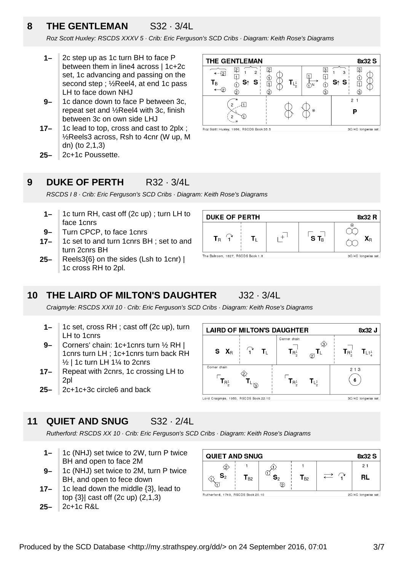### **8 THE GENTLEMAN** S32 · 3/4L

Roz Scott Huxley: RSCDS XXXV 5 · Crib: Eric Ferguson's SCD Cribs · Diagram: Keith Rose's Diagrams

- **1–** 2c step up as 1c turn BH to face P between them in line4 across | 1c+2c set, 1c advancing and passing on the second step ; ½Reel4, at end 1c pass LH to face down NHJ
- **9–** 1c dance down to face P between 3c, repeat set and ½Reel4 with 3c, finish between 3c on own side LHJ
- **17–** 1c lead to top, cross and cast to 2plx ; ½Reels3 across, Rsh to 4cnr (W up, M dn) (to 2,1,3)
- **25–** 2c+1c Poussette.

#### **9 DUKE OF PERTH** R32 · 3/4L

RSCDS I 8 · Crib: Eric Ferguson's SCD Cribs · Diagram: Keith Rose's Diagrams

- **1–** 1c turn RH, cast off (2c up) ; turn LH to face 1cnrs
- **9–** Turn CPCP, to face 1cnrs
- **17–** 1c set to and turn 1cnrs BH ; set to and turn 2cnrs BH
- **25–** Reels3{6} on the sides (Lsh to 1cnr) | 1c cross RH to 2pl.





#### **10 THE LAIRD OF MILTON'S DAUGHTER** J32 · 3/4L

Craigmyle: RSCDS XXII 10 · Crib: Eric Ferguson's SCD Cribs · Diagram: Keith Rose's Diagrams

- **1–** 1c set, cross RH ; cast off (2c up), turn LH to 1cnrs
- **9–** Corners' chain: 1c+1cnrs turn ½ RH | 1cnrs turn LH ; 1c+1cnrs turn back RH ½ | 1c turn LH 1¼ to 2cnrs
- **17–** Repeat with 2cnrs, 1c crossing LH to 2pl
- **25–** 2c+1c+3c circle6 and back

#### **LAIRD OF MILTON'S DAUGHTER** 8x32 J Corner chain ∕\$  $\otimes^{\textsf{T}^{\times}_{\textsf{L}}}$  $\widehat{\mathbf{I}}$  $S \mathbf{X}_{R}$  $T_{L}$  $T_{\mathsf{R}^1}$  $T_{L1<sup>1</sup>}$  $T_{\mathsf{R}^1}$ Corner chain  $213$  $\mathsf{T}_{\mathsf{R}_2^1}$  $\mathbf{T}_{\mathsf{R}_2^1}$ 6  $\mathsf{T}_\mathsf{L}$  $T_{L_{\alpha}^1}$ 3C/4C longwise set. Lord Craigmyle, 1950, RSCDS Book 22.10

#### **11 QUIET AND SNUG** S32 · 2/4L

Rutherford: RSCDS XX 10 · Crib: Eric Ferguson's SCD Cribs · Diagram: Keith Rose's Diagrams

- **1–** 1c (NHJ) set twice to 2W, turn P twice BH and open to face 2M
- **9–** 1c (NHJ) set twice to 2M, turn P twice BH, and open to fece down
- **17–** 1c lead down the middle {3}, lead to top {3}| cast off (2c up) (2,1,3)

```
25–
2c+1c R&L
```

| <b>QUIET AND SNUG</b> |                  |   |                  | 8x32 S |    |
|-----------------------|------------------|---|------------------|--------|----|
|                       |                  |   |                  |        | 21 |
| $\mathbf{S}_2$        | l B <sub>2</sub> |   | l B <sub>2</sub> |        |    |
|                       |                  | つ |                  |        |    |

Rutherford, 1749, RSCDS Book 20.10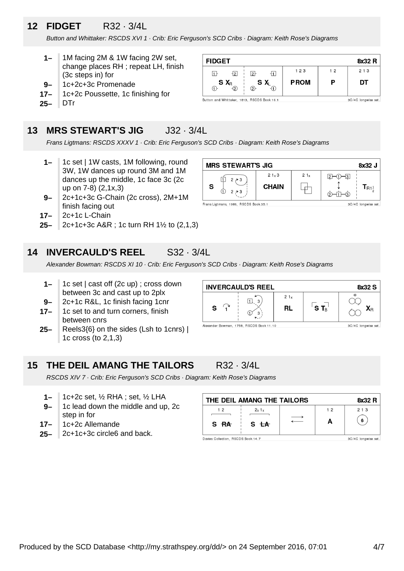# **12 FIDGET** R32 · 3/4L

Button and Whittaker: RSCDS XVI 1 · Crib: Eric Ferguson's SCD Cribs · Diagram: Keith Rose's Diagrams

- **1–** 1M facing 2M & 1W facing 2W set, change places RH ; repeat LH, finish (3c steps in) for
- **9–** 1c+2c+3c Promenade
- **17–** 1c+2c Poussette, 1c finishing for
- **25–** DTr

### **13 MRS STEWART'S JIG** J32 · 3/4L

Frans Ligtmans: RSCDS XXXV 1 · Crib: Eric Ferguson's SCD Cribs · Diagram: Keith Rose's Diagrams

- **1–** 1c set | 1W casts, 1M following, round 3W, 1W dances up round 3M and 1M dances up the middle, 1c face 3c (2c up on 7-8) (2,1x,3)
- **9–** 2c+1c+3c G-Chain (2c cross), 2M+1M finish facing out
- **17–** 2c+1c L-Chain
- **25–** 2c+1c+3c A&R ; 1c turn RH 1½ to (2,1,3)

#### **14 INVERCAULD'S REEL** S32 · 3/4L

Alexander Bowman: RSCDS XI 10 · Crib: Eric Ferguson's SCD Cribs · Diagram: Keith Rose's Diagrams

- **1–** 1c set | cast off (2c up) ; cross down between 3c and cast up to 2plx
- **9–** 2c+1c R&L, 1c finish facing 1cnr
- **17–** 1c set to and turn corners, finish between cnrs
- **25–** Reels3{6} on the sides (Lsh to 1cnrs) | 1c cross (to 2,1,3)



#### **15 THE DEIL AMANG THE TAILORS** R32 · 3/4L

RSCDS XIV 7 · Crib: Eric Ferguson's SCD Cribs · Diagram: Keith Rose's Diagrams

- **1–** 1c+2c set, ½ RHA ; set, ½ LHA
- **9–** 1c lead down the middle and up, 2c step in for
- **17–** 1c+2c Allemande
- **25–** 2c+1c+3c circle6 and back.

| THE DEIL AMANG THE TAILORS<br>8x32 R |                 |  |    |                     |
|--------------------------------------|-----------------|--|----|---------------------|
| 12                                   | 2x1x            |  | 12 | 2 1 3               |
| S RA                                 | S <del>LA</del> |  | А  | 6                   |
| Davies Collection, RSCDS Book 14.7   |                 |  |    | 3C/4C longwise set. |

| <b>FIDGET</b>                               |             |                | 8x32 R              |
|---------------------------------------------|-------------|----------------|---------------------|
| $\overline{12}$<br>$2+$                     | 123         | 1 <sub>2</sub> | 213                 |
| $S X_R$<br>SX.<br>②<br>-2                   | <b>PROM</b> | P              | DT                  |
| Button and Whittaker, 1813, RSCDS Book 16.1 |             |                | 3C/4C longwise set. |

Button and Whittaker, 1813, RSCDS Book 16.1

**MRS STEWART'S JIG** 

Frans Ligtmans, 1986, RSCDS Book 35.1

 $|1|$  $2 \nearrow 3$ 

S

 $21<sub>x</sub>3$ 

**CHAIN** 

 $21<sub>x</sub>$ 

└╈┘



8x32 J

 $T_{R1\frac{1}{2}}$ 

3C/4C longwise set

 $2 - 0 - 3$ 

↥

©−⊡−ூ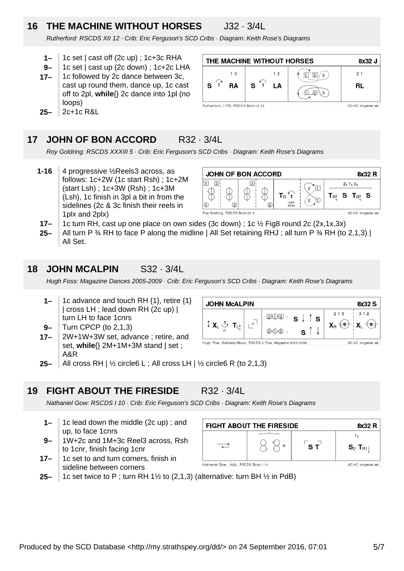# **16 THE MACHINE WITHOUT HORSES** J32 · 3/4L

Rutherford: RSCDS XII 12 · Crib: Eric Ferguson's SCD Cribs · Diagram: Keith Rose's Diagrams

- **1–** 1c set | cast off (2c up) ; 1c+3c RHA
- **9–** 1c set | cast up (2c down) ; 1c+2c LHA
- **17–** 1c followed by 2c dance between 3c, cast up round them, dance up, 1c cast off to 2pl, **while**{} 2c dance into 1pl (no loops)
- **25–** 2c+1c R&L

#### THE MACHINE WITHOUT HORSES 8x32 J  $1.3$  $12$  $\prod_{i=1}^{n} \left[\frac{1}{2}\right]$  $21$  $\mathbf{1}$  $\mathbf{s}$ **RA** S LA **RL**  $Q(3)$ Rutherford, 1772, RSCDS Book 12.12 3C/4C longwise set

#### **17 JOHN OF BON ACCORD** R32 · 3/4L

Roy Goldring: RSCDS XXXIII 5 · Crib: Eric Ferguson's SCD Cribs · Diagram: Keith Rose's Diagrams

**1-16** 4 progressive ½Reels3 across, as follows: 1c+2W (1c start Rsh) ; 1c+2M (start Lsh) ; 1c+3W (Rsh) ; 1c+3M (Lsh), 1c finish in 3pl a bit in from the sidelines (2c & 3c finish their reels in 1plx and 2plx)



- **17–** 1c turn RH, cast up one place on own sides (3c down) ; 1c ½ Fig8 round 2c (2x,1x,3x)
- **25–** All turn P  $\frac{3}{4}$  RH to face P along the midline | All Set retaining RHJ; all turn P  $\frac{3}{4}$  RH (to 2,1,3) | All Set.

#### **18 JOHN MCALPIN** S32 · 3/4L

Hugh Foss: Magazine Dances 2005-2009 · Crib: Eric Ferguson's SCD Cribs · Diagram: Keith Rose's Diagrams

- **1–** 1c advance and touch RH {1}, retire {1} | cross LH ; lead down RH (2c up) | turn LH to face 1cnrs
- **9–** Turn CPCP (to 2,1,3)
- **17–** 2W+1W+3W set, advance ; retire, and set, **while**{} 2M+1M+3M stand | set ; A&R



**25–** All cross RH |  $\frac{1}{2}$  circle6 L; All cross LH |  $\frac{1}{2}$  circle6 R (to 2,1,3)

#### **19 FIGHT ABOUT THE FIRESIDE** R32 · 3/4L

Nathaniel Gow: RSCDS I 10 · Crib: Eric Ferguson's SCD Cribs · Diagram: Keith Rose's Diagrams

- **1–** 1c lead down the middle (2c up) ; and up, to face 1cnrs
- **9–** 1W+2c and 1M+3c Reel3 across, Rsh to 1cnr, finish facing 1cnr
- **17–** 1c set to and turn corners, finish in sideline between corners



**25–** 1c set twice to P; turn RH 1 $\frac{1}{2}$  to (2,1,3) (alternative: turn BH  $\frac{1}{2}$  in PdB)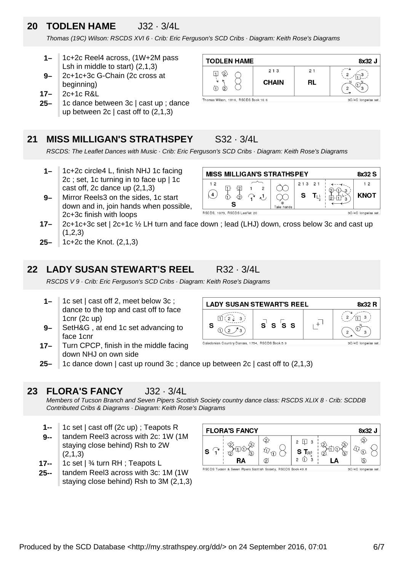### **20 TODLEN HAME** J32 · 3/4L

Thomas (19C) Wilson: RSCDS XVI 6 · Crib: Eric Ferguson's SCD Cribs · Diagram: Keith Rose's Diagrams

- **1–** 1c+2c Reel4 across, (1W+2M pass Lsh in middle to start) (2,1,3)
- **9–** 2c+1c+3c G-Chain (2c cross at beginning)
- **17–** 2c+1c R&L
- **25–** 1c dance between 3c | cast up ; dance up between  $2c \mid$  cast off to  $(2,1,3)$

#### **21 MISS MILLIGAN'S STRATHSPEY** S32 · 3/4L

RSCDS: The Leaflet Dances with Music · Crib: Eric Ferguson's SCD Cribs · Diagram: Keith Rose's Diagrams

- **1–** 1c+2c circle4 L, finish NHJ 1c facing 2c ; set, 1c turning in to face up | 1c cast off, 2c dance up (2,1,3)
- **9–** Mirror Reels3 on the sides, 1c start down and in, join hands when possible, 2c+3c finish with loops
	- RSCDS, 1973, RSCDS Leaflet 20
- **17–** 2c+1c+3c set | 2c+1c ½ LH turn and face down ; lead (LHJ) down, cross below 3c and cast up  $(1,2,3)$
- **25–** 1c+2c the Knot. (2,1,3)

#### **22 LADY SUSAN STEWART'S REEL** R32 · 3/4L

RSCDS V 9 · Crib: Eric Ferguson's SCD Cribs · Diagram: Keith Rose's Diagrams

- **1–** 1c set | cast off 2, meet below 3c ; dance to the top and cast off to face 1cnr (2c up)
- **9–** SetH&G , at end 1c set advancing to face 1cnr
- **17–** Turn CPCP, finish in the middle facing down NHJ on own side
- **25–** 1c dance down | cast up round 3c ; dance up between 2c | cast off to (2,1,3)

#### **23 FLORA'S FANCY** J32 · 3/4L

Members of Tucson Branch and Seven Pipers Scottish Society country dance class: RSCDS XLIX 8 · Crib: SCDDB Contributed Cribs & Diagrams · Diagram: Keith Rose's Diagrams

- **1--** 1c set | cast off (2c up) ; Teapots R
- **9-** tandem Reel3 across with 2c: 1W (1M staying close behind) Rsh to 2W (2,1,3)
- **17--** 1c set | ¾ turn RH ; Teapots L
- **25-** tandem Reel3 across with 3c: 1M (1W staying close behind) Rsh to 3M (2,1,3)



RSCDS Tucson & Seven Pipers Scottish Society, RSCDS Book 49.8



**MISS MILLIGAN'S STRATHSPEY** 



- **LADY SUSAN STEWART'S REEL** 8x32 R  $\mathbf{3}$ 冝  $\mathbf{L}^{\!+1}$  $\mathbf{C}$ S 's s S ( ၁ 3
- Caledonian Country Dances, 1754, RSCDS Book 5.9

3C/4C longwise set

8x32 S